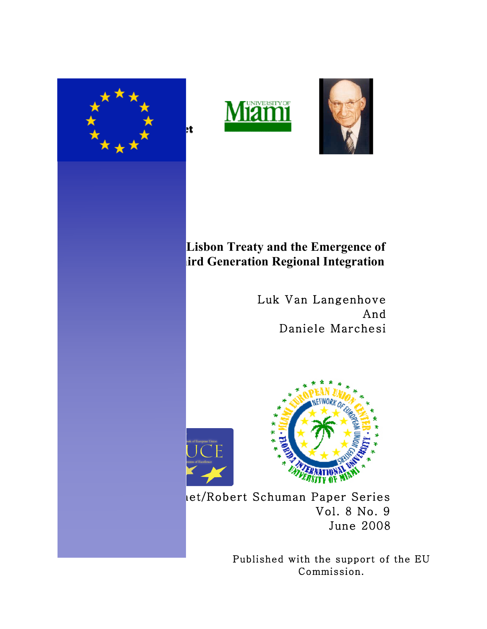



# **Lisbon Treaty and the Emergence of Third Generation Regional Integration**

Luk Van Langenhove And Daniele Marchesi





let/Robert Schuman Paper Series Vol. 8 No. 9 June 2008

> Published with the support of the EU Commission.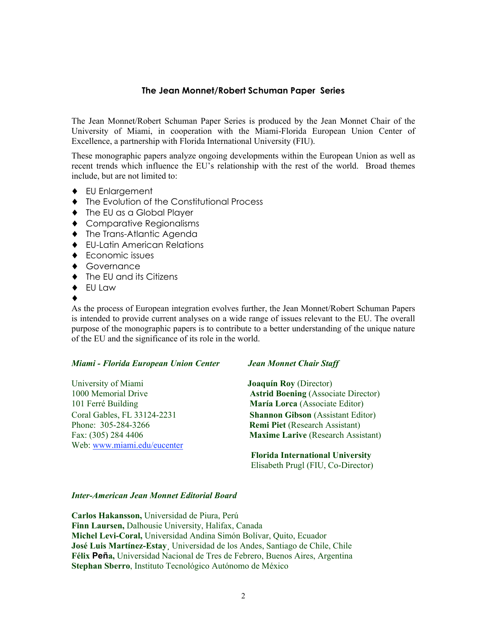### **The Jean Monnet/Robert Schuman Paper Series**

The Jean Monnet/Robert Schuman Paper Series is produced by the Jean Monnet Chair of the University of Miami, in cooperation with the Miami-Florida European Union Center of Excellence, a partnership with Florida International University (FIU).

These monographic papers analyze ongoing developments within the European Union as well as recent trends which influence the EU's relationship with the rest of the world. Broad themes include, but are not limited to:

- ♦ EU Enlargement
- ♦ The Evolution of the Constitutional Process
- ♦ The EU as a Global Player
- ♦ Comparative Regionalisms
- ♦ The Trans-Atlantic Agenda
- ♦ EU-Latin American Relations
- ♦ Economic issues
- ♦ Governance
- ♦ The EU and its Citizens
- $\bullet$  FU Law
- ♦

As the process of European integration evolves further, the Jean Monnet/Robert Schuman Papers is intended to provide current analyses on a wide range of issues relevant to the EU. The overall purpose of the monographic papers is to contribute to a better understanding of the unique nature of the EU and the significance of its role in the world.

#### *Miami - Florida European Union Center Jean Monnet Chair Staff*

University of Miami **Joaquín Roy** (Director) Phone: 305-284-3266 **Remi Piet** (Research Assistant) Web: www.miami.edu/eucenter

1000 Memorial Drive **Astrid Boening** (Associate Director) 101 Ferré Building **María Lorca** (Associate Editor) Coral Gables, FL 33124-2231 **Shannon Gibson** (Assistant Editor) Fax: (305) 284 4406 **Maxime Larive** (Research Assistant)

> **Florida International University** Elisabeth Prugl (FIU, Co-Director)

#### *Inter-American Jean Monnet Editorial Board*

**Carlos Hakansson,** Universidad de Piura, Perú **Finn Laursen,** Dalhousie University, Halifax, Canada **Michel Levi-Coral,** Universidad Andina Simón Bolívar, Quito, Ecuador **José Luis Martínez-Estay¸** Universidad de los Andes, Santiago de Chile, Chile **Félix Peña,** Universidad Nacional de Tres de Febrero, Buenos Aires, Argentina **Stephan Sberro**, Instituto Tecnológico Autónomo de México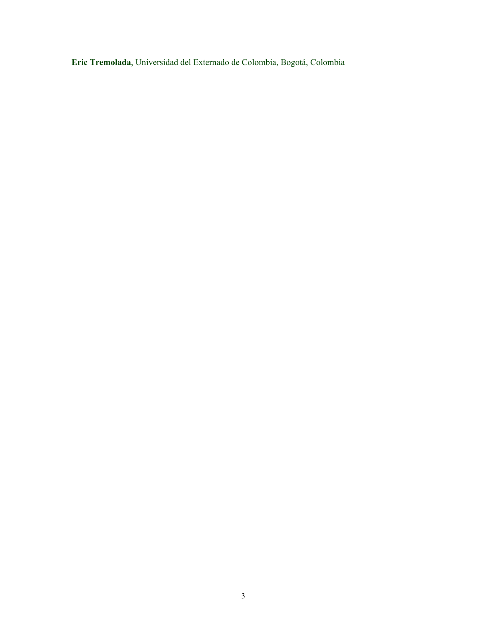**Eric Tremolada**, Universidad del Externado de Colombia, Bogotá, Colombia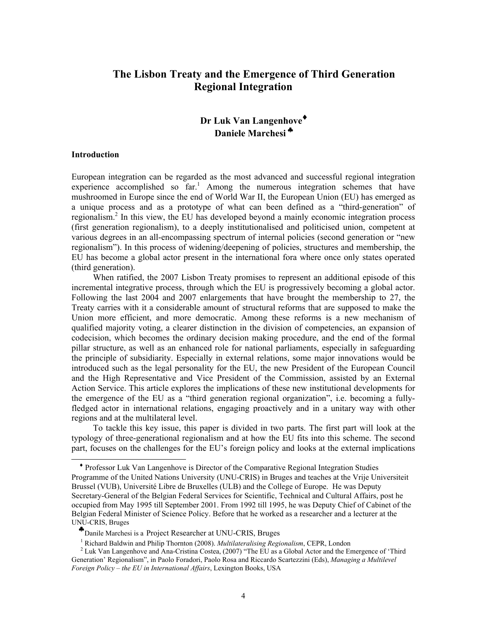# **The Lisbon Treaty and the Emergence of Third Generation Regional Integration**

## **Dr Luk Van Langenhove**♦ **Daniele Marchesi** ♣

#### **Introduction**

 $\overline{a}$ 

European integration can be regarded as the most advanced and successful regional integration experience accomplished so  $far$ <sup>1</sup>. Among the numerous integration schemes that have mushroomed in Europe since the end of World War II, the European Union (EU) has emerged as a unique process and as a prototype of what can been defined as a "third-generation" of regionalism.<sup>2</sup> In this view, the EU has developed beyond a mainly economic integration process (first generation regionalism), to a deeply institutionalised and politicised union, competent at various degrees in an all-encompassing spectrum of internal policies (second generation or "new regionalism"). In this process of widening/deepening of policies, structures and membership, the EU has become a global actor present in the international fora where once only states operated (third generation).

When ratified, the 2007 Lisbon Treaty promises to represent an additional episode of this incremental integrative process, through which the EU is progressively becoming a global actor. Following the last 2004 and 2007 enlargements that have brought the membership to 27, the Treaty carries with it a considerable amount of structural reforms that are supposed to make the Union more efficient, and more democratic. Among these reforms is a new mechanism of qualified majority voting, a clearer distinction in the division of competencies, an expansion of codecision, which becomes the ordinary decision making procedure, and the end of the formal pillar structure, as well as an enhanced role for national parliaments, especially in safeguarding the principle of subsidiarity. Especially in external relations, some major innovations would be introduced such as the legal personality for the EU, the new President of the European Council and the High Representative and Vice President of the Commission, assisted by an External Action Service. This article explores the implications of these new institutional developments for the emergence of the EU as a "third generation regional organization", i.e. becoming a fullyfledged actor in international relations, engaging proactively and in a unitary way with other regions and at the multilateral level.

To tackle this key issue, this paper is divided in two parts. The first part will look at the typology of three-generational regionalism and at how the EU fits into this scheme. The second part, focuses on the challenges for the EU's foreign policy and looks at the external implications

♦ Professor Luk Van Langenhove is Director of the Comparative Regional Integration Studies Programme of the United Nations University (UNU-CRIS) in Bruges and teaches at the Vrije Universiteit Brussel (VUB), Université Libre de Bruxelles (ULB) and the College of Europe. He was Deputy Secretary-General of the Belgian Federal Services for Scientific, Technical and Cultural Affairs, post he occupied from May 1995 till September 2001. From 1992 till 1995, he was Deputy Chief of Cabinet of the Belgian Federal Minister of Science Policy. Before that he worked as a researcher and a lecturer at the UNU-CRIS, Bruges

♣Danile Marchesi is a Project Researcher at UNU-CRIS, Bruges

<sup>1</sup> Richard Baldwin and Philip Thornton (2008). *Multilateralising Regionalism*, CEPR, London

<sup>&</sup>lt;sup>2</sup> Luk Van Langenhove and Ana-Cristina Costea, (2007) "The EU as a Global Actor and the Emergence of 'Third Generation' Regionalism", in Paolo Foradori, Paolo Rosa and Riccardo Scartezzini (Eds), *Managing a Multilevel Foreign Policy – the EU in International Affairs*, Lexington Books, USA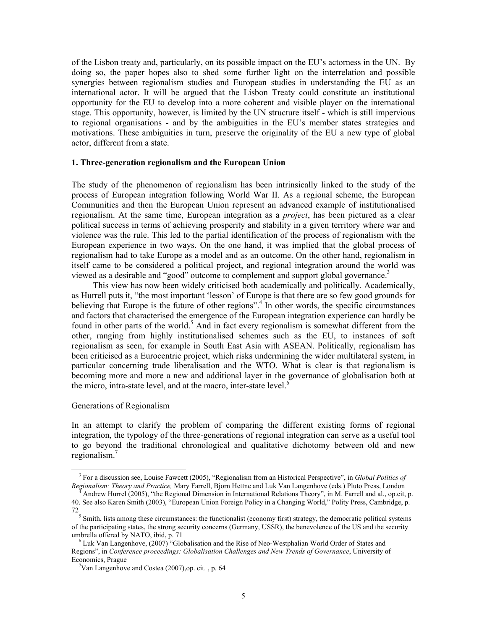of the Lisbon treaty and, particularly, on its possible impact on the EU's actorness in the UN. By doing so, the paper hopes also to shed some further light on the interrelation and possible synergies between regionalism studies and European studies in understanding the EU as an international actor. It will be argued that the Lisbon Treaty could constitute an institutional opportunity for the EU to develop into a more coherent and visible player on the international stage. This opportunity, however, is limited by the UN structure itself - which is still impervious to regional organisations - and by the ambiguities in the EU's member states strategies and motivations. These ambiguities in turn, preserve the originality of the EU a new type of global actor, different from a state.

#### **1. Three-generation regionalism and the European Union**

The study of the phenomenon of regionalism has been intrinsically linked to the study of the process of European integration following World War II. As a regional scheme, the European Communities and then the European Union represent an advanced example of institutionalised regionalism. At the same time, European integration as a *project*, has been pictured as a clear political success in terms of achieving prosperity and stability in a given territory where war and violence was the rule. This led to the partial identification of the process of regionalism with the European experience in two ways. On the one hand, it was implied that the global process of regionalism had to take Europe as a model and as an outcome. On the other hand, regionalism in itself came to be considered a political project, and regional integration around the world was viewed as a desirable and "good" outcome to complement and support global governance.<sup>3</sup>

This view has now been widely criticised both academically and politically. Academically, as Hurrell puts it, "the most important 'lesson' of Europe is that there are so few good grounds for believing that Europe is the future of other regions".<sup>4</sup> In other words, the specific circumstances and factors that characterised the emergence of the European integration experience can hardly be found in other parts of the world.<sup>5</sup> And in fact every regionalism is somewhat different from the other, ranging from highly institutionalised schemes such as the EU, to instances of soft regionalism as seen, for example in South East Asia with ASEAN. Politically, regionalism has been criticised as a Eurocentric project, which risks undermining the wider multilateral system, in particular concerning trade liberalisation and the WTO. What is clear is that regionalism is becoming more and more a new and additional layer in the governance of globalisation both at the micro, intra-state level, and at the macro, inter-state level. $<sup>6</sup>$ </sup>

#### Generations of Regionalism

 $\overline{a}$ 

In an attempt to clarify the problem of comparing the different existing forms of regional integration, the typology of the three-generations of regional integration can serve as a useful tool to go beyond the traditional chronological and qualitative dichotomy between old and new regionalism.7

<sup>&</sup>lt;sup>3</sup> For a discussion see, Louise Fawcett (2005), "Regionalism from an Historical Perspective", in *Global Politics of Regionalism: Theory and Practice,* Mary Farrell, Bjorn Hettne and Luk Van Langenhove (eds.) Pluto Press, London

<sup>4</sup> Andrew Hurrel (2005), "the Regional Dimension in International Relations Theory", in M. Farrell and al., op.cit, p. 40. See also Karen Smith (2003), "European Union Foreign Policy in a Changing World," Polity Press, Cambridge, p. 72

<sup>5</sup> Smith, lists among these circumstances: the functionalist (economy first) strategy, the democratic political systems of the participating states, the strong security concerns (Germany, USSR), the benevolence of the US and the security umbrella offered by NATO, ibid, p. 71

<sup>&</sup>lt;sup>6</sup> Luk Van Langenhove, (2007) "Globalisation and the Rise of Neo-Westphalian World Order of States and Regions", in *Conference proceedings: Globalisation Challenges and New Trends of Governance*, University of Economics, Prague

<sup>7</sup> Van Langenhove and Costea (2007),op. cit. , p. 64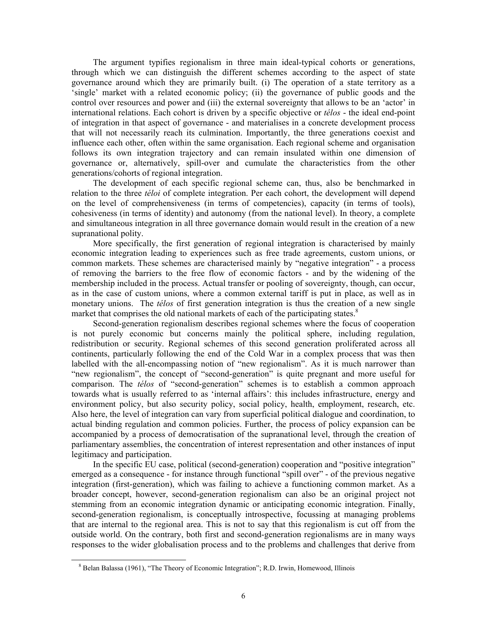The argument typifies regionalism in three main ideal-typical cohorts or generations, through which we can distinguish the different schemes according to the aspect of state governance around which they are primarily built. (i) The operation of a state territory as a 'single' market with a related economic policy; (ii) the governance of public goods and the control over resources and power and (iii) the external sovereignty that allows to be an 'actor' in international relations. Each cohort is driven by a specific objective or *télos* - the ideal end-point of integration in that aspect of governance - and materialises in a concrete development process that will not necessarily reach its culmination. Importantly, the three generations coexist and influence each other, often within the same organisation. Each regional scheme and organisation follows its own integration trajectory and can remain insulated within one dimension of governance or, alternatively, spill-over and cumulate the characteristics from the other generations/cohorts of regional integration.

The development of each specific regional scheme can, thus, also be benchmarked in relation to the three *téloi* of complete integration. Per each cohort, the development will depend on the level of comprehensiveness (in terms of competencies), capacity (in terms of tools), cohesiveness (in terms of identity) and autonomy (from the national level). In theory, a complete and simultaneous integration in all three governance domain would result in the creation of a new supranational polity.

More specifically, the first generation of regional integration is characterised by mainly economic integration leading to experiences such as free trade agreements, custom unions, or common markets. These schemes are characterised mainly by "negative integration" - a process of removing the barriers to the free flow of economic factors - and by the widening of the membership included in the process. Actual transfer or pooling of sovereignty, though, can occur, as in the case of custom unions, where a common external tariff is put in place, as well as in monetary unions. The *télos* of first generation integration is thus the creation of a new single market that comprises the old national markets of each of the participating states.<sup>8</sup>

Second-generation regionalism describes regional schemes where the focus of cooperation is not purely economic but concerns mainly the political sphere, including regulation, redistribution or security. Regional schemes of this second generation proliferated across all continents, particularly following the end of the Cold War in a complex process that was then labelled with the all-encompassing notion of "new regionalism". As it is much narrower than "new regionalism", the concept of "second-generation" is quite pregnant and more useful for comparison. The *télos* of "second-generation" schemes is to establish a common approach towards what is usually referred to as 'internal affairs': this includes infrastructure, energy and environment policy, but also security policy, social policy, health, employment, research, etc. Also here, the level of integration can vary from superficial political dialogue and coordination, to actual binding regulation and common policies. Further, the process of policy expansion can be accompanied by a process of democratisation of the supranational level, through the creation of parliamentary assemblies, the concentration of interest representation and other instances of input legitimacy and participation.

In the specific EU case, political (second-generation) cooperation and "positive integration" emerged as a consequence - for instance through functional "spill over" - of the previous negative integration (first-generation), which was failing to achieve a functioning common market. As a broader concept, however, second-generation regionalism can also be an original project not stemming from an economic integration dynamic or anticipating economic integration. Finally, second-generation regionalism, is conceptually introspective, focussing at managing problems that are internal to the regional area. This is not to say that this regionalism is cut off from the outside world. On the contrary, both first and second-generation regionalisms are in many ways responses to the wider globalisation process and to the problems and challenges that derive from

<sup>&</sup>lt;sup>8</sup> Belan Balassa (1961), "The Theory of Economic Integration"; R.D. Irwin, Homewood, Illinois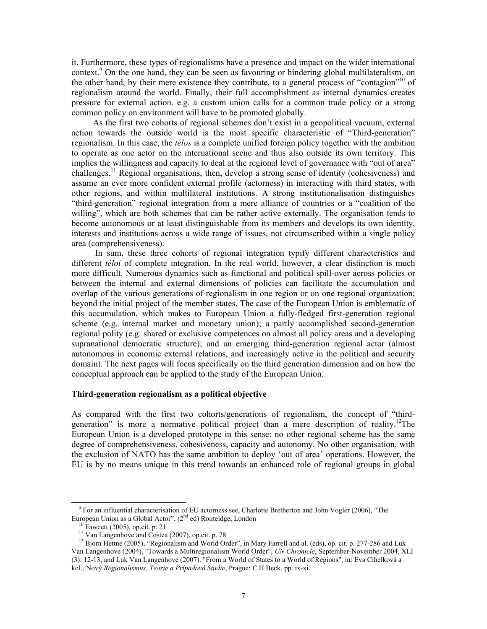it. Furthermore, these types of regionalisms have a presence and impact on the wider international context.<sup>9</sup> On the one hand, they can be seen as favouring or hindering global multilateralism, on the other hand, by their mere existence they contribute, to a general process of "contagion"<sup>10</sup> of regionalism around the world. Finally, their full accomplishment as internal dynamics creates pressure for external action. e.g. a custom union calls for a common trade policy or a strong common policy on environment will have to be promoted globally.

As the first two cohorts of regional schemes don't exist in a geopolitical vacuum, external action towards the outside world is the most specific characteristic of "Third-generation" regionalism. In this case, the *télos* is a complete unified foreign policy together with the ambition to operate as one actor on the international scene and thus also outside its own territory. This implies the willingness and capacity to deal at the regional level of governance with "out of area" challenges.<sup>11</sup> Regional organisations, then, develop a strong sense of identity (cohesiveness) and assume an ever more confident external profile (actorness) in interacting with third states, with other regions, and within multilateral institutions. A strong institutionalisation distinguishes "third-generation" regional integration from a mere alliance of countries or a "coalition of the willing", which are both schemes that can be rather active externally. The organisation tends to become autonomous or at least distinguishable from its members and develops its own identity, interests and institutions across a wide range of issues, not circumscribed within a single policy area (comprehensiveness).

 In sum, these three cohorts of regional integration typify different characteristics and different *téloi* of complete integration. In the real world, however, a clear distinction is much more difficult. Numerous dynamics such as functional and political spill-over across policies or between the internal and external dimensions of policies can facilitate the accumulation and overlap of the various generations of regionalism in one region or on one regional organization; beyond the initial project of the member states. The case of the European Union is emblematic of this accumulation, which makes to European Union a fully-fledged first-generation regional scheme (e.g. internal market and monetary union); a partly accomplished second-generation regional polity (e.g. shared or exclusive competences on almost all policy areas and a developing supranational democratic structure); and an emerging third-generation regional actor (almost autonomous in economic external relations, and increasingly active in the political and security domain). The next pages will focus specifically on the third generation dimension and on how the conceptual approach can be applied to the study of the European Union.

#### **Third-generation regionalism as a political objective**

As compared with the first two cohorts/generations of regionalism, the concept of "thirdgeneration" is more a normative political project than a mere description of reality.<sup>12</sup>The European Union is a developed prototype in this sense: no other regional scheme has the same degree of comprehensiveness, cohesiveness, capacity and autonomy. No other organisation, with the exclusion of NATO has the same ambition to deploy 'out of area' operations. However, the EU is by no means unique in this trend towards an enhanced role of regional groups in global

<sup>&</sup>lt;sup>9</sup> For an influential characterisation of EU actorness see, Charlotte Bretherton and John Vogler (2006), "The European Union as a Global Actor", (2<sup>nd</sup> ed) Routeldge, London

 $10$  Fawcett (2005), op.cit. p. 21

<sup>&</sup>lt;sup>11</sup> Van Langenhove and Costea (2007), op.cit. p. 78

<sup>&</sup>lt;sup>12</sup> Bjorn Hettne (2005), "Regionalism and World Order", in Mary Farrell and al. (eds), op. cit. p. 277-286 and Luk Van Langenhove (2004), "Towards a Multiregionalism World Order", *UN Chronicle*, September-November 2004, XLI (3): 12-13, and Luk Van Langenhove (2007). "From a World of States to a World of Regions", in: Eva Cihelková a kol., Nový *Regionalismus, Teorie a Prípadová Studie*, Prague: C.H.Beck, pp. ix-xi.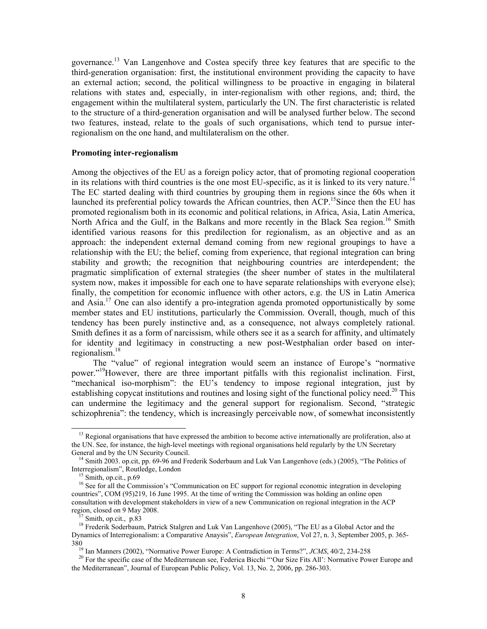governance.13 Van Langenhove and Costea specify three key features that are specific to the third-generation organisation: first, the institutional environment providing the capacity to have an external action; second, the political willingness to be proactive in engaging in bilateral relations with states and, especially, in inter-regionalism with other regions, and; third, the engagement within the multilateral system, particularly the UN. The first characteristic is related to the structure of a third-generation organisation and will be analysed further below. The second two features, instead, relate to the goals of such organisations, which tend to pursue interregionalism on the one hand, and multilateralism on the other.

#### **Promoting inter-regionalism**

Among the objectives of the EU as a foreign policy actor, that of promoting regional cooperation in its relations with third countries is the one most EU-specific, as it is linked to its very nature.<sup>14</sup> The EC started dealing with third countries by grouping them in regions since the 60s when it launched its preferential policy towards the African countries, then  $ACP$ <sup>15</sup>Since then the EU has promoted regionalism both in its economic and political relations, in Africa, Asia, Latin America, North Africa and the Gulf, in the Balkans and more recently in the Black Sea region.<sup>16</sup> Smith identified various reasons for this predilection for regionalism, as an objective and as an approach: the independent external demand coming from new regional groupings to have a relationship with the EU; the belief, coming from experience, that regional integration can bring stability and growth; the recognition that neighbouring countries are interdependent; the pragmatic simplification of external strategies (the sheer number of states in the multilateral system now, makes it impossible for each one to have separate relationships with everyone else); finally, the competition for economic influence with other actors, e.g. the US in Latin America and Asia.<sup>17</sup> One can also identify a pro-integration agenda promoted opportunistically by some member states and EU institutions, particularly the Commission. Overall, though, much of this tendency has been purely instinctive and, as a consequence, not always completely rational. Smith defines it as a form of narcissism, while others see it as a search for affinity, and ultimately for identity and legitimacy in constructing a new post-Westphalian order based on interregionalism.18

The "value" of regional integration would seem an instance of Europe's "normative power."19However, there are three important pitfalls with this regionalist inclination. First, "mechanical iso-morphism": the EU's tendency to impose regional integration, just by establishing copycat institutions and routines and losing sight of the functional policy need.<sup>20</sup> This can undermine the legitimacy and the general support for regionalism. Second, "strategic schizophrenia": the tendency, which is increasingly perceivable now, of somewhat inconsistently

 $<sup>13</sup>$  Regional organisations that have expressed the ambition to become active internationally are proliferation, also at</sup> the UN. See, for instance, the high-level meetings with regional organisations held regularly by the UN Secretary General and by the UN Security Council.

<sup>&</sup>lt;sup>14</sup> Smith 2003. op.cit, pp. 69-96 and Frederik Soderbaum and Luk Van Langenhove (eds.) (2005), "The Politics of Interregionalism", Routledge, London

<sup>&</sup>lt;sup>15</sup> Smith, op.cit., p.69

<sup>&</sup>lt;sup>16</sup> See for all the Commission's "Communication on EC support for regional economic integration in developing countries", COM (95)219, 16 June 1995. At the time of writing the Commission was holding an online open consultation with development stakeholders in view of a new Communication on regional integration in the ACP region, closed on 9 May 2008.

Smith, op.cit., p.83

<sup>&</sup>lt;sup>18</sup> Frederik Soderbaum, Patrick Stalgren and Luk Van Langenhove (2005), "The EU as a Global Actor and the Dynamics of Interregionalism: a Comparative Anaysis", *European Integration*, Vol 27, n. 3, September 2005, p. 365- 380

19 Ian Manners (2002), "Normative Power Europe: A Contradiction in Terms?", *JCMS*, 40/2, 234-258

<sup>&</sup>lt;sup>20</sup> For the specific case of the Mediterranean see, Federica Bicchi "'Our Size Fits All': Normative Power Europe and the Mediterranean", Journal of European Public Policy, Vol. 13, No. 2, 2006, pp. 286-303.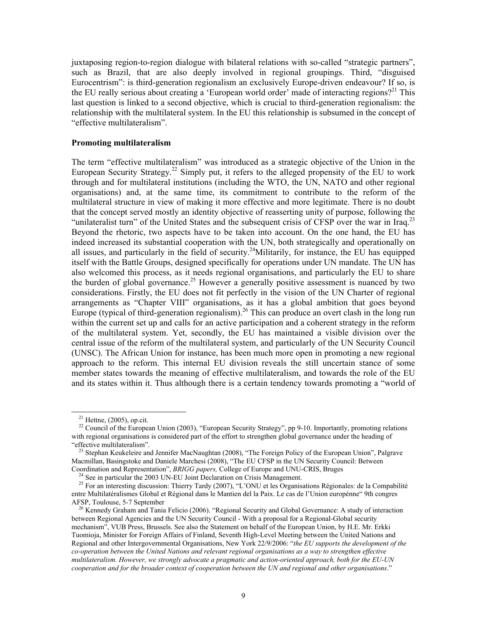juxtaposing region-to-region dialogue with bilateral relations with so-called "strategic partners", such as Brazil, that are also deeply involved in regional groupings. Third, "disguised Eurocentrism": is third-generation regionalism an exclusively Europe-driven endeavour? If so, is the EU really serious about creating a 'European world order' made of interacting regions?<sup>21</sup> This last question is linked to a second objective, which is crucial to third-generation regionalism: the relationship with the multilateral system. In the EU this relationship is subsumed in the concept of "effective multilateralism".

#### **Promoting multilateralism**

The term "effective multilateralism" was introduced as a strategic objective of the Union in the European Security Strategy.<sup>22</sup> Simply put, it refers to the alleged propensity of the EU to work through and for multilateral institutions (including the WTO, the UN, NATO and other regional organisations) and, at the same time, its commitment to contribute to the reform of the multilateral structure in view of making it more effective and more legitimate. There is no doubt that the concept served mostly an identity objective of reasserting unity of purpose, following the "unilateralist turn" of the United States and the subsequent crisis of CFSP over the war in Iraq.<sup>23</sup> Beyond the rhetoric, two aspects have to be taken into account. On the one hand, the EU has indeed increased its substantial cooperation with the UN, both strategically and operationally on all issues, and particularly in the field of security.<sup>24</sup>Militarily, for instance, the EU has equipped itself with the Battle Groups, designed specifically for operations under UN mandate. The UN has also welcomed this process, as it needs regional organisations, and particularly the EU to share the burden of global governance.<sup>25</sup> However a generally positive assessment is nuanced by two considerations. Firstly, the EU does not fit perfectly in the vision of the UN Charter of regional arrangements as "Chapter VIII" organisations, as it has a global ambition that goes beyond Europe (typical of third-generation regionalism).<sup>26</sup> This can produce an overt clash in the long run within the current set up and calls for an active participation and a coherent strategy in the reform of the multilateral system. Yet, secondly, the EU has maintained a visible division over the central issue of the reform of the multilateral system, and particularly of the UN Security Council (UNSC). The African Union for instance, has been much more open in promoting a new regional approach to the reform. This internal EU division reveals the still uncertain stance of some member states towards the meaning of effective multilateralism, and towards the role of the EU and its states within it. Thus although there is a certain tendency towards promoting a "world of

 $\overline{a}$ 

 $^{24}$  See in particular the 2003 UN-EU Joint Declaration on Crisis Management.

 $21$  Hettne, (2005), op.cit.

<sup>&</sup>lt;sup>22</sup> Council of the European Union (2003), "European Security Strategy", pp 9-10. Importantly, promoting relations with regional organisations is considered part of the effort to strengthen global governance under the heading of "effective multilateralism".

<sup>&</sup>lt;sup>23</sup> Stephan Keukeleire and Jennifer MacNaughtan (2008), "The Foreign Policy of the European Union", Palgrave Macmillan, Basingstoke and Daniele Marchesi (2008), "The EU CFSP in the UN Security Council: Between Coordination and Representation", *BRIGG papers,* College of Europe and UNU-CRIS, Bruges

<sup>&</sup>lt;sup>25</sup> For an interesting discussion: Thierry Tardy (2007), "L'ONU et les Organisations Régionales: de la Compabilité entre Multilatéralismes Global et Régional dans le Mantien del la Paix. Le cas de l'Union europénne" 9th congres AFSP, Toulouse, 5-7 September

<sup>&</sup>lt;sup>26</sup> Kennedy Graham and Tania Felicio (2006). "Regional Security and Global Governance: A study of interaction between Regional Agencies and the UN Security Council - With a proposal for a Regional-Global security mechanism", VUB Press, Brussels. See also the Statement on behalf of the European Union, by H.E. Mr. Erkki Tuomioja, Minister for Foreign Affairs of Finland, Seventh High-Level Meeting between the United Nations and Regional and other Intergovernmental Organisations, New York 22/9/2006: "*the EU supports the development of the co-operation between the United Nations and relevant regional organisations as a way to strengthen effective multilateralism. However, we strongly advocate a pragmatic and action-oriented approach, both for the EU-UN cooperation and for the broader context of cooperation between the UN and regional and other organisations*."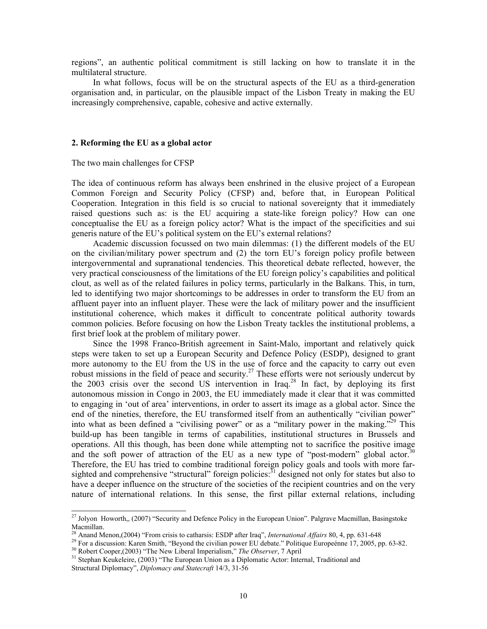regions", an authentic political commitment is still lacking on how to translate it in the multilateral structure.

In what follows, focus will be on the structural aspects of the EU as a third-generation organisation and, in particular, on the plausible impact of the Lisbon Treaty in making the EU increasingly comprehensive, capable, cohesive and active externally.

#### **2. Reforming the EU as a global actor**

#### The two main challenges for CFSP

The idea of continuous reform has always been enshrined in the elusive project of a European Common Foreign and Security Policy (CFSP) and, before that, in European Political Cooperation. Integration in this field is so crucial to national sovereignty that it immediately raised questions such as: is the EU acquiring a state-like foreign policy? How can one conceptualise the EU as a foreign policy actor? What is the impact of the specificities and sui generis nature of the EU's political system on the EU's external relations?

Academic discussion focussed on two main dilemmas: (1) the different models of the EU on the civilian/military power spectrum and (2) the torn EU's foreign policy profile between intergovernmental and supranational tendencies. This theoretical debate reflected, however, the very practical consciousness of the limitations of the EU foreign policy's capabilities and political clout, as well as of the related failures in policy terms, particularly in the Balkans. This, in turn, led to identifying two major shortcomings to be addresses in order to transform the EU from an affluent payer into an influent player. These were the lack of military power and the insufficient institutional coherence, which makes it difficult to concentrate political authority towards common policies. Before focusing on how the Lisbon Treaty tackles the institutional problems, a first brief look at the problem of military power.

Since the 1998 Franco-British agreement in Saint-Malo, important and relatively quick steps were taken to set up a European Security and Defence Policy (ESDP), designed to grant more autonomy to the EU from the US in the use of force and the capacity to carry out even robust missions in the field of peace and security.27 These efforts were not seriously undercut by the 2003 crisis over the second US intervention in Iraq.<sup>28</sup> In fact, by deploying its first autonomous mission in Congo in 2003, the EU immediately made it clear that it was committed to engaging in 'out of area' interventions, in order to assert its image as a global actor. Since the end of the nineties, therefore, the EU transformed itself from an authentically "civilian power" into what as been defined a "civilising power" or as a "military power in the making.<sup>529</sup> This build-up has been tangible in terms of capabilities, institutional structures in Brussels and operations. All this though, has been done while attempting not to sacrifice the positive image and the soft power of attraction of the EU as a new type of "post-modern" global actor.<sup>30</sup> Therefore, the EU has tried to combine traditional foreign policy goals and tools with more farsighted and comprehensive "structural" foreign policies:<sup>31</sup> designed not only for states but also to have a deeper influence on the structure of the societies of the recipient countries and on the very nature of international relations. In this sense, the first pillar external relations, including

<sup>&</sup>lt;sup>27</sup> Jolyon Howorth,, (2007) "Security and Defence Policy in the European Union". Palgrave Macmillan, Basingstoke Macmillan.<br><sup>28</sup> Anand Menon, (2004) "From crisis to catharsis: ESDP after Iraq", *International Affairs* 80, 4, pp. 631-648

<sup>&</sup>lt;sup>29</sup> For a discussion: Karen Smith, "Beyond the civilian power EU debate." Politique Europeénne 17, 2005, pp. 63-82.<br><sup>30</sup> Robert Cooper, (2003) "The New Liberal Imperialism," *The Observer*, 7 April<br><sup>31</sup> Stephan Keukeleir

Structural Diplomacy", *Diplomacy and Statecraft* 14/3, 31-56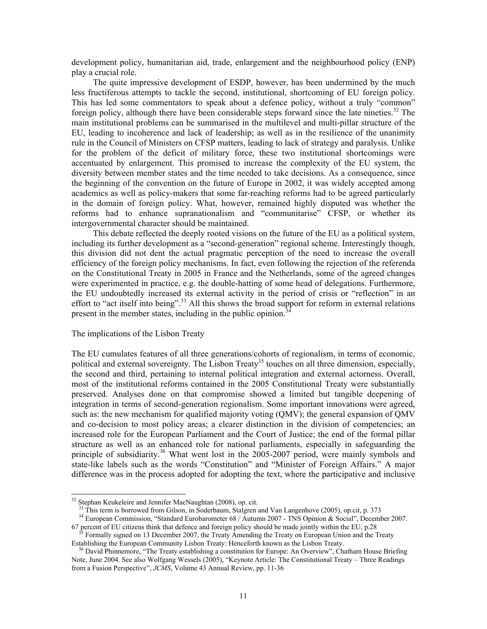development policy, humanitarian aid, trade, enlargement and the neighbourhood policy (ENP) play a crucial role.

The quite impressive development of ESDP, however, has been undermined by the much less fructiferous attempts to tackle the second, institutional, shortcoming of EU foreign policy. This has led some commentators to speak about a defence policy, without a truly "common" foreign policy, although there have been considerable steps forward since the late nineties.<sup>32</sup> The main institutional problems can be summarised in the multilevel and multi-pillar structure of the EU, leading to incoherence and lack of leadership; as well as in the resilience of the unanimity rule in the Council of Ministers on CFSP matters, leading to lack of strategy and paralysis. Unlike for the problem of the deficit of military force, these two institutional shortcomings were accentuated by enlargement. This promised to increase the complexity of the EU system, the diversity between member states and the time needed to take decisions. As a consequence, since the beginning of the convention on the future of Europe in 2002, it was widely accepted among academics as well as policy-makers that some far-reaching reforms had to be agreed particularly in the domain of foreign policy. What, however, remained highly disputed was whether the reforms had to enhance supranationalism and "communitarise" CFSP, or whether its intergovernmental character should be maintained.

This debate reflected the deeply rooted visions on the future of the EU as a political system, including its further development as a "second-generation" regional scheme. Interestingly though, this division did not dent the actual pragmatic perception of the need to increase the overall efficiency of the foreign policy mechanisms. In fact, even following the rejection of the referenda on the Constitutional Treaty in 2005 in France and the Netherlands, some of the agreed changes were experimented in practice, e.g. the double-hatting of some head of delegations. Furthermore, the EU undoubtedly increased its external activity in the period of crisis or "reflection" in an effort to "act itself into being".<sup>33</sup> All this shows the broad support for reform in external relations present in the member states, including in the public opinion.<sup>34</sup>

#### The implications of the Lisbon Treaty

The EU cumulates features of all three generations/cohorts of regionalism, in terms of economic, political and external sovereignty. The Lisbon Treaty<sup>35</sup> touches on all three dimension, especially, the second and third, pertaining to internal political integration and external actorness. Overall, most of the institutional reforms contained in the 2005 Constitutional Treaty were substantially preserved. Analyses done on that compromise showed a limited but tangible deepening of integration in terms of second-generation regionalism. Some important innovations were agreed, such as: the new mechanism for qualified majority voting (QMV); the general expansion of QMV and co-decision to most policy areas; a clearer distinction in the division of competencies; an increased role for the European Parliament and the Court of Justice; the end of the formal pillar structure as well as an enhanced role for national parliaments, especially in safeguarding the principle of subsidiarity.<sup>36</sup> What went lost in the 2005-2007 period, were mainly symbols and state-like labels such as the words "Constitution" and "Minister of Foreign Affairs." A major difference was in the process adopted for adopting the text, where the participative and inclusive

<sup>&</sup>lt;sup>32</sup> Stephan Keukeleire and Jennifer MacNaughtan (2008), op. cit.

<sup>&</sup>lt;sup>33</sup> This term is borrowed from Gilson, in Soderbaum, Stalgren and Van Langenhove (2005), op.cit, p. 373

<sup>&</sup>lt;sup>34</sup> European Commission, "Standard Eurobarometer 68 / Autumn 2007 - TNS Opinion & Social", December 2007. 67 percent of EU citizens think that defence and foreign policy should be made jointly within the EU, p.28

35 Formally signed on 13 December 2007, the Treaty Amending the Treaty on European Union and the Treaty Establishing the European Community Lisbon Treaty: Henceforth known as the Lisbon Treaty.

<sup>&</sup>lt;sup>36</sup> David Phinnemore, "The Treaty establishing a constitution for Europe: An Overview", Chatham House Briefing Note, June 2004. See also Wolfgang Wessels (2005), "Keynote Article: The Constitutional Treaty – Three Readings from a Fusion Perspective", *JCMS*, Volume 43 Annual Review, pp. 11-36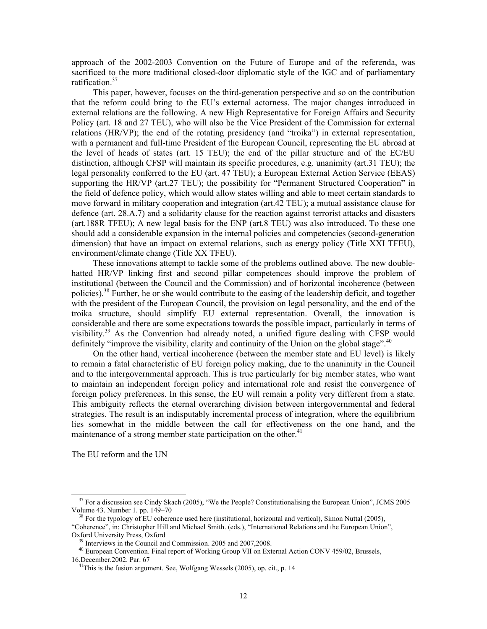approach of the 2002-2003 Convention on the Future of Europe and of the referenda, was sacrificed to the more traditional closed-door diplomatic style of the IGC and of parliamentary ratification.<sup>37</sup>

This paper, however, focuses on the third-generation perspective and so on the contribution that the reform could bring to the EU's external actorness. The major changes introduced in external relations are the following. A new High Representative for Foreign Affairs and Security Policy (art. 18 and 27 TEU), who will also be the Vice President of the Commission for external relations (HR/VP); the end of the rotating presidency (and "troika") in external representation, with a permanent and full-time President of the European Council, representing the EU abroad at the level of heads of states (art. 15 TEU); the end of the pillar structure and of the EC/EU distinction, although CFSP will maintain its specific procedures, e.g. unanimity (art.31 TEU); the legal personality conferred to the EU (art. 47 TEU); a European External Action Service (EEAS) supporting the HR/VP (art.27 TEU); the possibility for "Permanent Structured Cooperation" in the field of defence policy, which would allow states willing and able to meet certain standards to move forward in military cooperation and integration (art.42 TEU); a mutual assistance clause for defence (art. 28.A.7) and a solidarity clause for the reaction against terrorist attacks and disasters (art.188R TFEU); A new legal basis for the ENP (art.8 TEU) was also introduced. To these one should add a considerable expansion in the internal policies and competencies (second-generation dimension) that have an impact on external relations, such as energy policy (Title XXI TFEU), environment/climate change (Title XX TFEU).

These innovations attempt to tackle some of the problems outlined above. The new doublehatted HR/VP linking first and second pillar competences should improve the problem of institutional (between the Council and the Commission) and of horizontal incoherence (between policies).38 Further, he or she would contribute to the easing of the leadership deficit, and together with the president of the European Council, the provision on legal personality, and the end of the troika structure, should simplify EU external representation. Overall, the innovation is considerable and there are some expectations towards the possible impact, particularly in terms of visibility.39 As the Convention had already noted, a unified figure dealing with CFSP would definitely "improve the visibility, clarity and continuity of the Union on the global stage".<sup>40</sup>

On the other hand, vertical incoherence (between the member state and EU level) is likely to remain a fatal characteristic of EU foreign policy making, due to the unanimity in the Council and to the intergovernmental approach. This is true particularly for big member states, who want to maintain an independent foreign policy and international role and resist the convergence of foreign policy preferences. In this sense, the EU will remain a polity very different from a state. This ambiguity reflects the eternal overarching division between intergovernmental and federal strategies. The result is an indisputably incremental process of integration, where the equilibrium lies somewhat in the middle between the call for effectiveness on the one hand, and the maintenance of a strong member state participation on the other.<sup>41</sup>

The EU reform and the UN

<sup>&</sup>lt;sup>37</sup> For a discussion see Cindy Skach (2005), "We the People? Constitutionalising the European Union", JCMS 2005 Volume 43. Number 1. pp. 149–70

38 For the typology of EU coherence used here (institutional, horizontal and vertical), Simon Nuttal (2005), "Coherence", in: Christopher Hill and Michael Smith. (eds.), "International Relations and the European Union", Oxford University Press, Oxford

 $39$  Interviews in the Council and Commission. 2005 and 2007.2008.

<sup>&</sup>lt;sup>40</sup> European Convention. Final report of Working Group VII on External Action CONV 459/02, Brussels, 16.December.2002. Par. 67

 $41$ <sup>1</sup>This is the fusion argument. See, Wolfgang Wessels (2005), op. cit., p. 14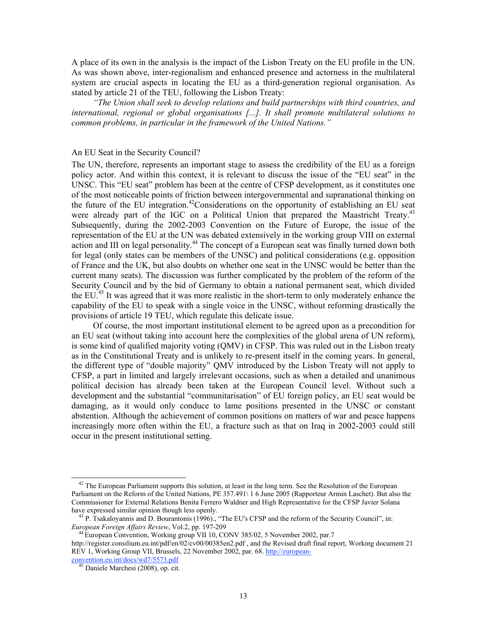A place of its own in the analysis is the impact of the Lisbon Treaty on the EU profile in the UN. As was shown above, inter-regionalism and enhanced presence and actorness in the multilateral system are crucial aspects in locating the EU as a third-generation regional organisation. As stated by article 21 of the TEU, following the Lisbon Treaty:

*"The Union shall seek to develop relations and build partnerships with third countries, and international, regional or global organisations [...]. It shall promote multilateral solutions to common problems, in particular in the framework of the United Nations."*

#### An EU Seat in the Security Council?

The UN, therefore, represents an important stage to assess the credibility of the EU as a foreign policy actor. And within this context, it is relevant to discuss the issue of the "EU seat" in the UNSC. This "EU seat" problem has been at the centre of CFSP development, as it constitutes one of the most noticeable points of friction between intergovernmental and supranational thinking on the future of the EU integration.<sup>42</sup>Considerations on the opportunity of establishing an EU seat were already part of the IGC on a Political Union that prepared the Maastricht Treaty.<sup>43</sup> Subsequently, during the 2002-2003 Convention on the Future of Europe, the issue of the representation of the EU at the UN was debated extensively in the working group VIII on external action and III on legal personality.<sup>44</sup> The concept of a European seat was finally turned down both for legal (only states can be members of the UNSC) and political considerations (e.g. opposition of France and the UK, but also doubts on whether one seat in the UNSC would be better than the current many seats). The discussion was further complicated by the problem of the reform of the Security Council and by the bid of Germany to obtain a national permanent seat, which divided the EU.<sup>45</sup> It was agreed that it was more realistic in the short-term to only moderately enhance the capability of the EU to speak with a single voice in the UNSC, without reforming drastically the provisions of article 19 TEU, which regulate this delicate issue.

Of course, the most important institutional element to be agreed upon as a precondition for an EU seat (without taking into account here the complexities of the global arena of UN reform), is some kind of qualified majority voting (QMV) in CFSP. This was ruled out in the Lisbon treaty as in the Constitutional Treaty and is unlikely to re-present itself in the coming years. In general, the different type of "double majority" QMV introduced by the Lisbon Treaty will not apply to CFSP, a part in limited and largely irrelevant occasions, such as when a detailed and unanimous political decision has already been taken at the European Council level. Without such a development and the substantial "communitarisation" of EU foreign policy, an EU seat would be damaging, as it would only conduce to lame positions presented in the UNSC or constant abstention. Although the achievement of common positions on matters of war and peace happens increasingly more often within the EU, a fracture such as that on Iraq in 2002-2003 could still occur in the present institutional setting.

<sup>&</sup>lt;sup>42</sup> The European Parliament supports this solution, at least in the long term. See the Resolution of the European Parliament on the Reform of the United Nations, PE 357.491\ 1 6 June 2005 (Rapporteur Armin Laschet). But also the Commissioner for External Relations Benita Ferrero Waldner and High Representative for the CFSP Javier Solana have expressed similar opinion though less openly.

<sup>&</sup>lt;sup>43</sup> P. Tsakaloyannis and D. Bourantonis (1996)., "The EU's CFSP and the reform of the Security Council", in: *European Foreign Affairs Review*, Vol.2, pp. 197-209

<sup>&</sup>lt;sup>44</sup> European Convention, Working group VII 10, CONV 385/02, 5 November 2002, par.7

http://register.consilium.eu.int/pdf/en/02/cv00/00385en2.pdf , and the Revised draft final report, Working document 21 REV 1, Working Group VII, Brussels, 22 November 2002, par. 68. http://european-

convention.eu.int/docs/wd7/5573.pdf

Daniele Marchesi (2008), op. cit.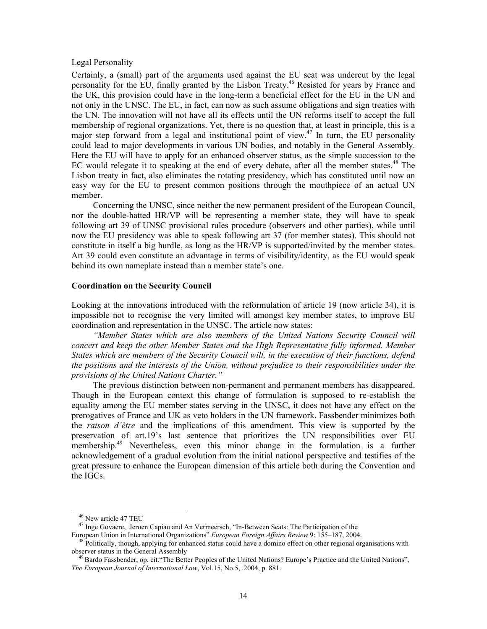#### Legal Personality

Certainly, a (small) part of the arguments used against the EU seat was undercut by the legal personality for the EU, finally granted by the Lisbon Treaty.<sup>46</sup> Resisted for years by France and the UK, this provision could have in the long-term a beneficial effect for the EU in the UN and not only in the UNSC. The EU, in fact, can now as such assume obligations and sign treaties with the UN. The innovation will not have all its effects until the UN reforms itself to accept the full membership of regional organizations. Yet, there is no question that, at least in principle, this is a major step forward from a legal and institutional point of view.<sup>47</sup> In turn, the EU personality could lead to major developments in various UN bodies, and notably in the General Assembly. Here the EU will have to apply for an enhanced observer status, as the simple succession to the EC would relegate it to speaking at the end of every debate, after all the member states.<sup>48</sup> The Lisbon treaty in fact, also eliminates the rotating presidency, which has constituted until now an easy way for the EU to present common positions through the mouthpiece of an actual UN member.

Concerning the UNSC, since neither the new permanent president of the European Council, nor the double-hatted HR/VP will be representing a member state, they will have to speak following art 39 of UNSC provisional rules procedure (observers and other parties), while until now the EU presidency was able to speak following art 37 (for member states). This should not constitute in itself a big hurdle, as long as the HR/VP is supported/invited by the member states. Art 39 could even constitute an advantage in terms of visibility/identity, as the EU would speak behind its own nameplate instead than a member state's one.

#### **Coordination on the Security Council**

Looking at the innovations introduced with the reformulation of article 19 (now article 34), it is impossible not to recognise the very limited will amongst key member states, to improve EU coordination and representation in the UNSC. The article now states:

*"Member States which are also members of the United Nations Security Council will concert and keep the other Member States and the High Representative fully informed. Member States which are members of the Security Council will, in the execution of their functions, defend the positions and the interests of the Union, without prejudice to their responsibilities under the provisions of the United Nations Charter."*

The previous distinction between non-permanent and permanent members has disappeared. Though in the European context this change of formulation is supposed to re-establish the equality among the EU member states serving in the UNSC, it does not have any effect on the prerogatives of France and UK as veto holders in the UN framework. Fassbender minimizes both the *raison d'ètre* and the implications of this amendment. This view is supported by the preservation of art.19's last sentence that prioritizes the UN responsibilities over EU membership.<sup>49</sup> Nevertheless, even this minor change in the formulation is a further acknowledgement of a gradual evolution from the initial national perspective and testifies of the great pressure to enhance the European dimension of this article both during the Convention and the IGCs.

46 New article 47 TEU

<sup>&</sup>lt;sup>47</sup> Inge Govaere, Jeroen Capiau and An Vermeersch, "In-Between Seats: The Participation of the

European Union in International Organizations" *European Foreign Affairs Review* 9: 155–187, 2004.

 $48$  Politically, though, applying for enhanced status could have a domino effect on other regional organisations with observer status in the General Assembly

<sup>&</sup>lt;sup>49</sup> Bardo Fassbender, op. cit. "The Better Peoples of the United Nations? Europe's Practice and the United Nations", *The European Journal of International Law*, Vol.15, No.5, .2004, p. 881.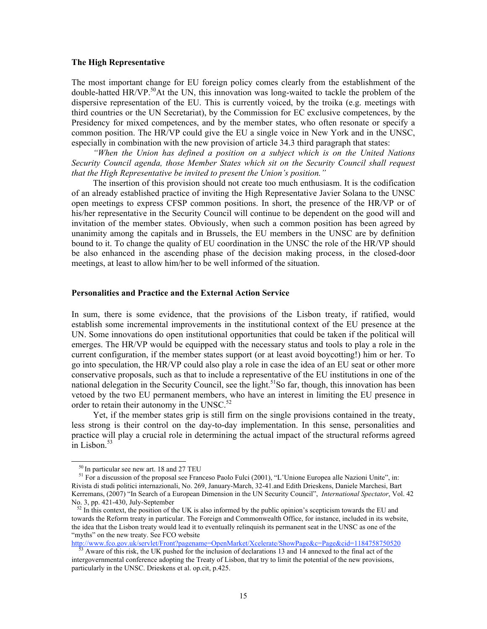#### **The High Representative**

The most important change for EU foreign policy comes clearly from the establishment of the double-hatted HR/VP.<sup>50</sup>At the UN, this innovation was long-waited to tackle the problem of the dispersive representation of the EU. This is currently voiced, by the troika (e.g. meetings with third countries or the UN Secretariat), by the Commission for EC exclusive competences, by the Presidency for mixed competences, and by the member states, who often resonate or specify a common position. The HR/VP could give the EU a single voice in New York and in the UNSC, especially in combination with the new provision of article 34.3 third paragraph that states:

*"When the Union has defined a position on a subject which is on the United Nations Security Council agenda, those Member States which sit on the Security Council shall request that the High Representative be invited to present the Union's position."* 

The insertion of this provision should not create too much enthusiasm. It is the codification of an already established practice of inviting the High Representative Javier Solana to the UNSC open meetings to express CFSP common positions. In short, the presence of the HR/VP or of his/her representative in the Security Council will continue to be dependent on the good will and invitation of the member states. Obviously, when such a common position has been agreed by unanimity among the capitals and in Brussels, the EU members in the UNSC are by definition bound to it. To change the quality of EU coordination in the UNSC the role of the HR/VP should be also enhanced in the ascending phase of the decision making process, in the closed-door meetings, at least to allow him/her to be well informed of the situation.

#### **Personalities and Practice and the External Action Service**

In sum, there is some evidence, that the provisions of the Lisbon treaty, if ratified, would establish some incremental improvements in the institutional context of the EU presence at the UN. Some innovations do open institutional opportunities that could be taken if the political will emerges. The HR/VP would be equipped with the necessary status and tools to play a role in the current configuration, if the member states support (or at least avoid boycotting!) him or her. To go into speculation, the HR/VP could also play a role in case the idea of an EU seat or other more conservative proposals, such as that to include a representative of the EU institutions in one of the national delegation in the Security Council, see the light.<sup>51</sup>So far, though, this innovation has been vetoed by the two EU permanent members, who have an interest in limiting the EU presence in order to retain their autonomy in the UNSC. $52$ 

Yet, if the member states grip is still firm on the single provisions contained in the treaty, less strong is their control on the day-to-day implementation. In this sense, personalities and practice will play a crucial role in determining the actual impact of the structural reforms agreed in Lisbon. $53$ 

 $\overline{a}$ 

http://www.fco.gov.uk/servlet/Front?pagename=OpenMarket/Xcelerate/ShowPage&c=Page&cid=1184758750520

<sup>50</sup> In particular see new art. 18 and 27 TEU

<sup>&</sup>lt;sup>51</sup> For a discussion of the proposal see Franceso Paolo Fulci (2001), "L'Unione Europea alle Nazioni Unite", in: Rivista di studi politici internazionali, No. 269, January-March, 32-41.and Edith Drieskens, Daniele Marchesi, Bart Kerremans, (2007) "In Search of a European Dimension in the UN Security Council", *International Spectator*, Vol. 42 No. 3, pp. 421-430, July-September

 $52$  In this context, the position of the UK is also informed by the public opinion's scepticism towards the EU and towards the Reform treaty in particular. The Foreign and Commonwealth Office, for instance, included in its website, the idea that the Lisbon treaty would lead it to eventually relinquish its permanent seat in the UNSC as one of the "myths" on the new treaty. See FCO website

 $53$  Aware of this risk, the UK pushed for the inclusion of declarations 13 and 14 annexed to the final act of the intergovernmental conference adopting the Treaty of Lisbon, that try to limit the potential of the new provisions, particularly in the UNSC. Drieskens et al. op.cit, p.425.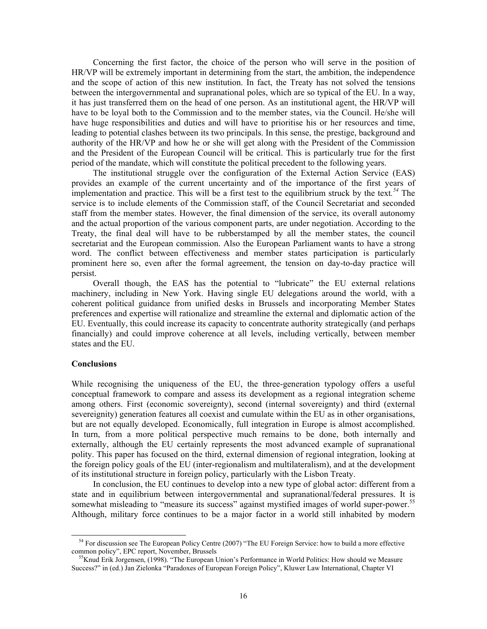Concerning the first factor, the choice of the person who will serve in the position of HR/VP will be extremely important in determining from the start, the ambition, the independence and the scope of action of this new institution. In fact, the Treaty has not solved the tensions between the intergovernmental and supranational poles, which are so typical of the EU. In a way, it has just transferred them on the head of one person. As an institutional agent, the HR/VP will have to be loyal both to the Commission and to the member states, via the Council. He/she will have huge responsibilities and duties and will have to prioritise his or her resources and time, leading to potential clashes between its two principals. In this sense, the prestige, background and authority of the HR/VP and how he or she will get along with the President of the Commission and the President of the European Council will be critical. This is particularly true for the first period of the mandate, which will constitute the political precedent to the following years.

The institutional struggle over the configuration of the External Action Service (EAS) provides an example of the current uncertainty and of the importance of the first years of implementation and practice. This will be a first test to the equilibrium struck by the text*. <sup>54</sup>* The service is to include elements of the Commission staff, of the Council Secretariat and seconded staff from the member states. However, the final dimension of the service, its overall autonomy and the actual proportion of the various component parts, are under negotiation. According to the Treaty, the final deal will have to be rubberstamped by all the member states, the council secretariat and the European commission. Also the European Parliament wants to have a strong word. The conflict between effectiveness and member states participation is particularly prominent here so, even after the formal agreement, the tension on day-to-day practice will persist.

Overall though, the EAS has the potential to "lubricate" the EU external relations machinery, including in New York. Having single EU delegations around the world, with a coherent political guidance from unified desks in Brussels and incorporating Member States preferences and expertise will rationalize and streamline the external and diplomatic action of the EU. Eventually, this could increase its capacity to concentrate authority strategically (and perhaps financially) and could improve coherence at all levels, including vertically, between member states and the EU.

#### **Conclusions**

 $\overline{a}$ 

While recognising the uniqueness of the EU, the three-generation typology offers a useful conceptual framework to compare and assess its development as a regional integration scheme among others. First (economic sovereignty), second (internal sovereignty) and third (external severeignity) generation features all coexist and cumulate within the EU as in other organisations, but are not equally developed. Economically, full integration in Europe is almost accomplished. In turn, from a more political perspective much remains to be done, both internally and externally, although the EU certainly represents the most advanced example of supranational polity. This paper has focused on the third, external dimension of regional integration, looking at the foreign policy goals of the EU (inter-regionalism and multilateralism), and at the development of its institutional structure in foreign policy, particularly with the Lisbon Treaty.

In conclusion, the EU continues to develop into a new type of global actor: different from a state and in equilibrium between intergovernmental and supranational/federal pressures. It is somewhat misleading to "measure its success" against mystified images of world super-power.<sup>55</sup> Although, military force continues to be a major factor in a world still inhabited by modern

<sup>&</sup>lt;sup>54</sup> For discussion see The European Policy Centre (2007) "The EU Foreign Service: how to build a more effective common policy", EPC report, November, Brussels

<sup>&</sup>lt;sup>55</sup>Knud Erik Jorgensen, (1998). "The European Union's Performance in World Politics: How should we Measure Success?" in (ed.) Jan Zielonka "Paradoxes of European Foreign Policy", Kluwer Law International, Chapter VI